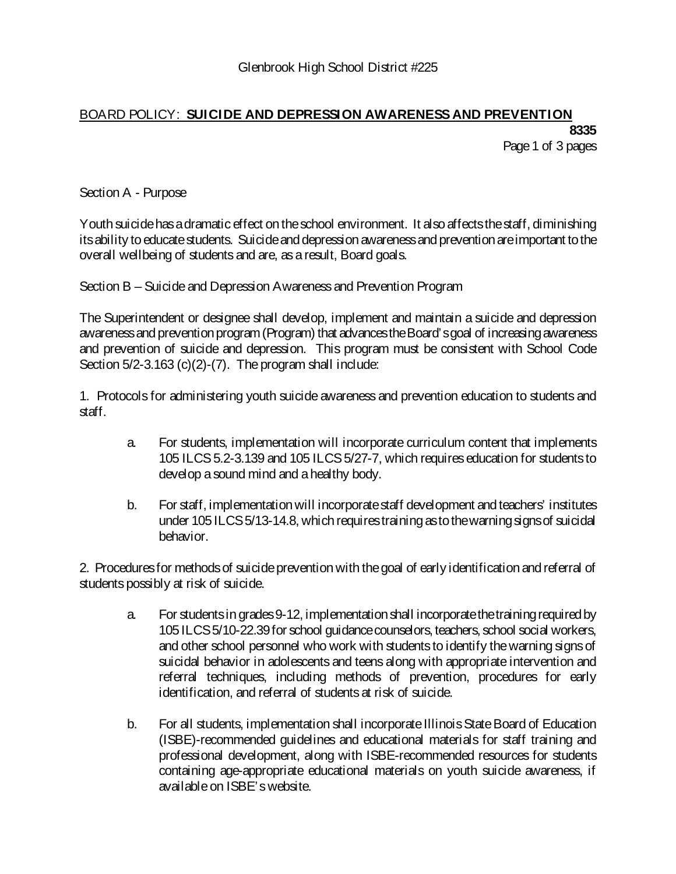## BOARD POLICY: **SUICIDE AND DEPRESSION AWARENESS AND PREVENTION 8335**

Page 1 of 3 pages

Section A - Purpose

Youth suicide has a dramatic effect on the school environment. It also affects the staff, diminishing itsability to educate students. Suicide and depression awareness and prevention are important to the overall wellbeing of students and are, as a result, Board goals.

Section B – Suicide and Depression Awareness and Prevention Program

The Superintendent or designee shall develop, implement and maintain a suicide and depression awareness and prevention program (Program) that advances the Board's goal of increasing awareness and prevention of suicide and depression. This program must be consistent with School Code Section  $5/2$ -3.163 (c)(2)-(7). The program shall include:

1. Protocols for administering youth suicide awareness and prevention education to students and staff.

- a. For students, implementation will incorporate curriculum content that implements 105 ILCS 5.2-3.139 and 105 ILCS 5/27-7, which requires education for students to develop a sound mind and a healthy body.
- b. For staff, implementation will incorporate staff development and teachers' institutes under 105 ILCS 5/13-14.8, which requires training as to the warning signs of suicidal behavior.

2. Procedures for methods of suicide prevention with the goal of early identification and referral of students possibly at risk of suicide.

- a. For students in grades 9-12, implementation shall incorporate the training required by 105 ILCS 5/10-22.39 for school guidance counselors, teachers, school social workers, and other school personnel who work with students to identify the warning signs of suicidal behavior in adolescents and teens along with appropriate intervention and referral techniques, including methods of prevention, procedures for early identification, and referral of students at risk of suicide.
- b. For all students, implementation shall incorporate Illinois State Board of Education (ISBE)-recommended guidelines and educational materials for staff training and professional development, along with ISBE-recommended resources for students containing age-appropriate educational materials on youth suicide awareness, if available on ISBE's website.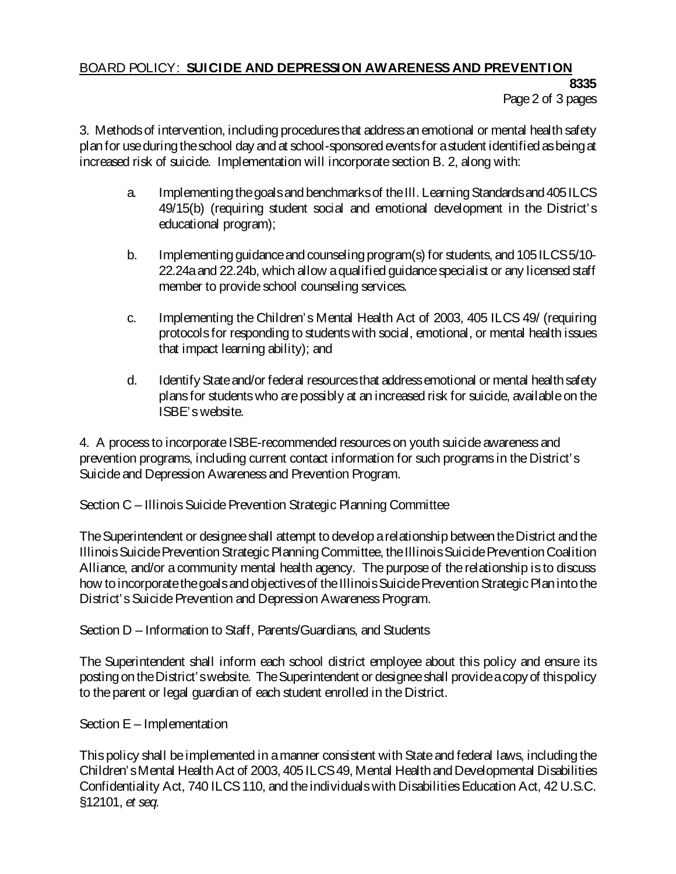## BOARD POLICY: **SUICIDE AND DEPRESSION AWARENESS AND PREVENTION**

**8335** Page 2 of 3 pages

3. Methods of intervention, including procedures that address an emotional or mental health safety plan for use during the school day and at school-sponsored events for a student identified as being at increased risk of suicide. Implementation will incorporate section B. 2, along with:

- a. Implementing the goals and benchmarks of the Ill. Learning Standards and 405 ILCS 49/15(b) (requiring student social and emotional development in the District's educational program);
- b. Implementing guidance and counseling program(s) for students, and 105 ILCS 5/10- 22.24a and 22.24b, which allow a qualified guidance specialist or any licensed staff member to provide school counseling services.
- c. Implementing the Children's Mental Health Act of 2003, 405 ILCS 49/ (requiring protocols for responding to students with social, emotional, or mental health issues that impact learning ability); and
- d. IdentifyState and/or federal resources that address emotional or mental health safety plans for students who are possibly at an increased risk for suicide, available on the ISBE's website.

4. A process to incorporate ISBE-recommended resources on youth suicide awareness and prevention programs, including current contact information for such programs in the District's Suicide and Depression Awareness and Prevention Program.

Section C – Illinois Suicide Prevention Strategic Planning Committee

The Superintendent or designee shall attempt to develop a relationship between the District and the Illinois Suicide Prevention Strategic Planning Committee, the Illinois Suicide Prevention Coalition Alliance, and/or a community mental health agency. The purpose of the relationship is to discuss how to incorporate the goals and objectives of the Illinois Suicide Prevention Strategic Plan into the District's Suicide Prevention and Depression Awareness Program.

Section D – Information to Staff, Parents/Guardians, and Students

The Superintendent shall inform each school district employee about this policy and ensure its posting on the District's website. The Superintendent or designee shall provide a copy of this policy to the parent or legal guardian of each student enrolled in the District.

Section E – Implementation

This policy shall be implemented in a manner consistent with State and federal laws, including the Children's Mental Health Act of 2003, 405 ILCS 49, Mental Health and Developmental Disabilities Confidentiality Act, 740 ILCS 110, and the individuals with Disabilities Education Act, 42 U.S.C. §12101, *et seq.*